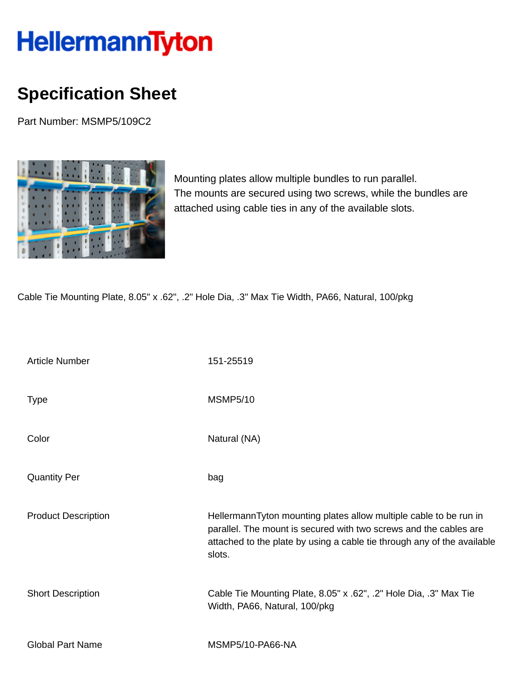## HellermannTyton

## **Specification Sheet**

Part Number: MSMP5/109C2



Mounting plates allow multiple bundles to run parallel. The mounts are secured using two screws, while the bundles are attached using cable ties in any of the available slots.

Cable Tie Mounting Plate, 8.05" x .62", .2" Hole Dia, .3" Max Tie Width, PA66, Natural, 100/pkg

| <b>Article Number</b>      | 151-25519                                                                                                                                                                                                                   |
|----------------------------|-----------------------------------------------------------------------------------------------------------------------------------------------------------------------------------------------------------------------------|
| <b>Type</b>                | <b>MSMP5/10</b>                                                                                                                                                                                                             |
| Color                      | Natural (NA)                                                                                                                                                                                                                |
| <b>Quantity Per</b>        | bag                                                                                                                                                                                                                         |
| <b>Product Description</b> | HellermannTyton mounting plates allow multiple cable to be run in<br>parallel. The mount is secured with two screws and the cables are<br>attached to the plate by using a cable tie through any of the available<br>slots. |
| <b>Short Description</b>   | Cable Tie Mounting Plate, 8.05" x .62", .2" Hole Dia, .3" Max Tie<br>Width, PA66, Natural, 100/pkg                                                                                                                          |
| <b>Global Part Name</b>    | <b>MSMP5/10-PA66-NA</b>                                                                                                                                                                                                     |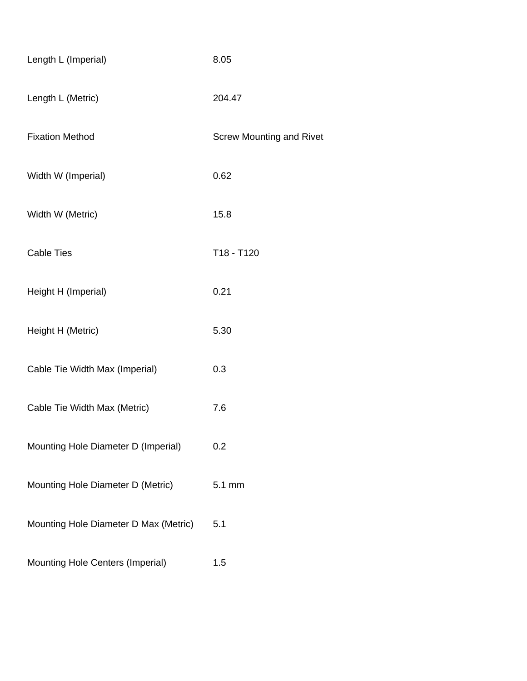| Length L (Imperial)                   | 8.05                            |
|---------------------------------------|---------------------------------|
| Length L (Metric)                     | 204.47                          |
| <b>Fixation Method</b>                | <b>Screw Mounting and Rivet</b> |
| Width W (Imperial)                    | 0.62                            |
| Width W (Metric)                      | 15.8                            |
| <b>Cable Ties</b>                     | T18 - T120                      |
| Height H (Imperial)                   | 0.21                            |
| Height H (Metric)                     | 5.30                            |
| Cable Tie Width Max (Imperial)        | 0.3                             |
| Cable Tie Width Max (Metric)          | 7.6                             |
| Mounting Hole Diameter D (Imperial)   | 0.2                             |
| Mounting Hole Diameter D (Metric)     | 5.1 mm                          |
| Mounting Hole Diameter D Max (Metric) | 5.1                             |
| Mounting Hole Centers (Imperial)      | 1.5                             |